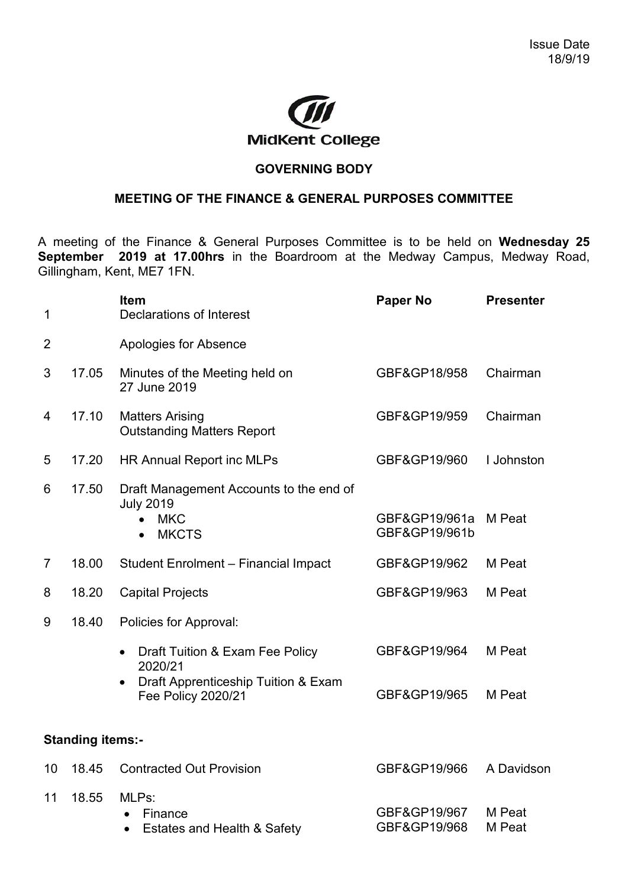

## **GOVERNING BODY**

## **MEETING OF THE FINANCE & GENERAL PURPOSES COMMITTEE**

A meeting of the Finance & General Purposes Committee is to be held on **Wednesday 25 September 2019 at 17.00hrs** in the Boardroom at the Medway Campus, Medway Road, Gillingham, Kent, ME7 1FN.

| 1              |                         | <b>Item</b><br>Declarations of Interest                                                   | <b>Paper No</b>                | <b>Presenter</b> |
|----------------|-------------------------|-------------------------------------------------------------------------------------------|--------------------------------|------------------|
| 2              |                         | Apologies for Absence                                                                     |                                |                  |
| 3              | 17.05                   | Minutes of the Meeting held on<br>27 June 2019                                            | GBF&GP18/958                   | Chairman         |
| 4              | 17.10                   | <b>Matters Arising</b><br><b>Outstanding Matters Report</b>                               | GBF&GP19/959                   | Chairman         |
| 5              | 17.20                   | <b>HR Annual Report inc MLPs</b>                                                          | GBF&GP19/960                   | I Johnston       |
| 6              | 17.50                   | Draft Management Accounts to the end of<br><b>July 2019</b><br><b>MKC</b><br><b>MKCTS</b> | GBF&GP19/961a<br>GBF&GP19/961b | M Peat           |
| $\overline{7}$ | 18.00                   | Student Enrolment - Financial Impact                                                      | GBF&GP19/962                   | M Peat           |
| 8              | 18.20                   | <b>Capital Projects</b>                                                                   | GBF&GP19/963                   | M Peat           |
| 9              | 18.40                   | <b>Policies for Approval:</b>                                                             |                                |                  |
|                |                         | Draft Tuition & Exam Fee Policy<br>$\bullet$<br>2020/21                                   | GBF&GP19/964                   | M Peat           |
|                |                         | Draft Apprenticeship Tuition & Exam<br><b>Fee Policy 2020/21</b>                          | GBF&GP19/965                   | M Peat           |
|                | <b>Standing items:-</b> |                                                                                           |                                |                  |
| 10             | 18.45                   | <b>Contracted Out Provision</b>                                                           | GBF&GP19/966                   | A Davidson       |
| 11             | 18.55                   | MLPs:<br>Finance<br>Estates and Health & Safety                                           | GBF&GP19/967<br>GBF&GP19/968   | M Peat<br>M Peat |